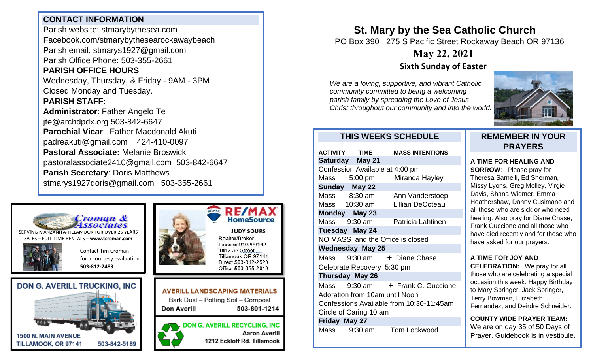### **CONTACT INFORMATION**

Parish website: stmarybythesea.com Facebook.com/stmarybythesearockawaybeach Parish email: stmarys1927@gmail.com Parish Office Phone: 503-355-2661

# **PARISH OFFICE HOURS**

Wednesday, Thursday, & Friday - 9AM - 3PM Closed Monday and Tuesday.

#### **PARISH STAFF:**

**Administrator**: Father Angelo Te jte@archdpdx.org 503-842-6647 **Parochial Vicar**: Father Macdonald Akuti padreakuti@gmail.com 424-410-0097 **Pastoral Associate:** Melanie Broswick pastoralassociate2410@gmail.com 503-842-6647 **Parish Secretary**: Doris Matthews stmarys1927doris@gmail.com 503-355-2661



SERVING MANZANITA-TILLAMOOK FOR OVER 25 YEARS SALES – FULL TIME RENTALS – **[www.tcroman.com](http://www.tcroman.com/)**

Contact Tim Croman

**503-812-2483**









Realtor/Broker License 910200142 1812 3rd Street. Tillamook OR 97141 Direct 503-812-2520 Office 503-355-2010

**AVERILL LANDSCAPING MATERIALS** Bark Dust - Potting Soil - Compost Don Averill 503-801-1214

**DON G. AVERILL RECYCLING, INC Aaron Averill** 1212 Eckloff Rd. Tillamook

# **St. Mary by the Sea Catholic Church**

PO Box 390 275 S Pacific Street Rockaway Beach OR 97136

# **May 22, 2021**

## **Sixth Sunday of Easter**

*We are a loving, supportive, and vibrant Catholic community committed to being a welcoming parish family by spreading the Love of Jesus Christ throughout our community and into the world.*



#### **THIS WEEKS SCHEDULE**

| <b>ACTIVITY TIME</b>                     |                        | <b>MASS INTENTIONS</b>           |
|------------------------------------------|------------------------|----------------------------------|
|                                          | Saturday May 21        |                                  |
| Confession Available at 4:00 pm          |                        |                                  |
| Mass 5:00 pm                             |                        | Miranda Hayley                   |
| Sunday May 22                            |                        |                                  |
| Mass 8:30 am                             |                        | Ann Vanderstoep                  |
|                                          | Mass 10:30 am          | <b>Lillian DeCoteau</b>          |
| Monday May 23                            |                        |                                  |
| Mass                                     | $9:30$ am              | Patricia Lahtinen                |
| Tuesday May 24                           |                        |                                  |
| NO MASS and the Office is closed         |                        |                                  |
| <b>Wednesday May 25</b>                  |                        |                                  |
| Mass                                     |                        | 9:30 am + Diane Chase            |
| Celebrate Recovery 5:30 pm               |                        |                                  |
|                                          | <b>Thursday May 26</b> |                                  |
|                                          |                        | Mass 9:30 am + Frank C. Guccione |
| Adoration from 10am until Noon           |                        |                                  |
| Confessions Available from 10:30-11:45am |                        |                                  |
| Circle of Caring 10 am                   |                        |                                  |
| Friday May 27                            |                        |                                  |
| Mass 9:30 am                             |                        | <b>Tom Lockwood</b>              |

### **REMEMBER IN YOUR PRAYERS**

#### **A TIME FOR HEALING AND**

**SORROW**: Please pray for Theresa Sarnelli, Ed Sherman, Missy Lyons, Greg Molley, Virgie Davis, Shana Widmer, Emma Heathershaw, Danny Cusimano and all those who are sick or who need healing. Also pray for Diane Chase, Frank Guccione and all those who have died recently and for those who have asked for our prayers.

#### **A TIME FOR JOY AND**

**CELEBRATION:** We pray for all those who are celebrating a special occasion this week. Happy Birthday to Mary Springer, Jack Springer, Terry Bowman, Elizabeth Fernandez, and Deirdre Schneider.

**COUNTY WIDE PRAYER TEAM:** We are on day 35 of 50 Days of Prayer. Guidebook is in vestibule.